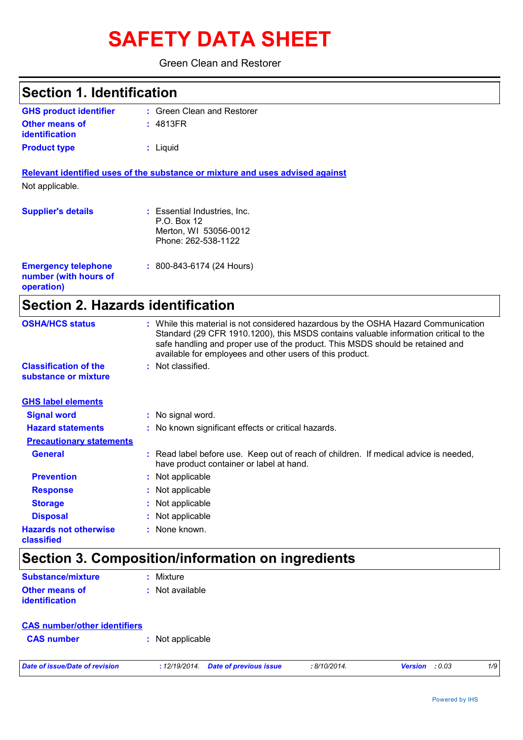# **SAFETY DATA SHEET**

#### Green Clean and Restorer

| <b>Section 1. Identification</b>                                  |                                                                                                                                                                                                                                                                                                                         |
|-------------------------------------------------------------------|-------------------------------------------------------------------------------------------------------------------------------------------------------------------------------------------------------------------------------------------------------------------------------------------------------------------------|
| <b>GHS product identifier</b>                                     | : Green Clean and Restorer                                                                                                                                                                                                                                                                                              |
| <b>Other means of</b><br><b>identification</b>                    | : 4813FR                                                                                                                                                                                                                                                                                                                |
| <b>Product type</b>                                               | : Liquid                                                                                                                                                                                                                                                                                                                |
|                                                                   | Relevant identified uses of the substance or mixture and uses advised against                                                                                                                                                                                                                                           |
| Not applicable.                                                   |                                                                                                                                                                                                                                                                                                                         |
| <b>Supplier's details</b>                                         | : Essential Industries, Inc.<br>P.O. Box 12<br>Merton, WI 53056-0012<br>Phone: 262-538-1122                                                                                                                                                                                                                             |
| <b>Emergency telephone</b><br>number (with hours of<br>operation) | $: 800 - 843 - 6174$ (24 Hours)                                                                                                                                                                                                                                                                                         |
| <b>Section 2. Hazards identification</b>                          |                                                                                                                                                                                                                                                                                                                         |
| <b>OSHA/HCS status</b>                                            | : While this material is not considered hazardous by the OSHA Hazard Communication<br>Standard (29 CFR 1910.1200), this MSDS contains valuable information critical to the<br>safe handling and proper use of the product. This MSDS should be retained and<br>available for employees and other users of this product. |
| <b>Classification of the</b><br>substance or mixture              | : Not classified.                                                                                                                                                                                                                                                                                                       |
| <b>GHS label elements</b>                                         |                                                                                                                                                                                                                                                                                                                         |
| <b>Signal word</b>                                                | : No signal word.                                                                                                                                                                                                                                                                                                       |
| <b>Hazard statements</b>                                          | : No known significant effects or critical hazards.                                                                                                                                                                                                                                                                     |
| <b>Precautionary statements</b>                                   |                                                                                                                                                                                                                                                                                                                         |
| <b>General</b>                                                    | : Read label before use. Keep out of reach of children. If medical advice is needed,<br>have product container or label at hand.                                                                                                                                                                                        |
| <b>Prevention</b>                                                 | : Not applicable                                                                                                                                                                                                                                                                                                        |
| <b>Response</b>                                                   | : Not applicable                                                                                                                                                                                                                                                                                                        |
| <b>Storage</b>                                                    | : Not applicable                                                                                                                                                                                                                                                                                                        |
| <b>Disposal</b>                                                   | : Not applicable                                                                                                                                                                                                                                                                                                        |
| <b>Hazards not otherwise</b><br>classified                        | : None known.                                                                                                                                                                                                                                                                                                           |
|                                                                   | Section 3. Composition/information on ingredients                                                                                                                                                                                                                                                                       |
| <b>Substance/mixture</b>                                          | : Mixture                                                                                                                                                                                                                                                                                                               |
| <b>Other means of</b><br>identification                           | : Not available                                                                                                                                                                                                                                                                                                         |

| <b>CAS number/other identifiers</b> |                  |
|-------------------------------------|------------------|
| <b>CAS</b> number                   | : Not applicable |

*Date of issue/Date of revision* **:** *12/19/2014. Date of previous issue : 8/10/2014. Version : 0.03 1/9*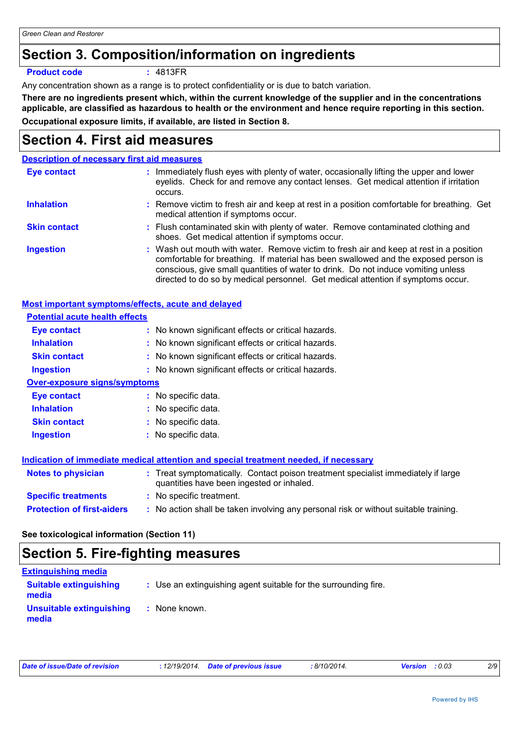### **Section 3. Composition/information on ingredients**

#### **Product code :** 4813FR

Any concentration shown as a range is to protect confidentiality or is due to batch variation.

**There are no ingredients present which, within the current knowledge of the supplier and in the concentrations applicable, are classified as hazardous to health or the environment and hence require reporting in this section. Occupational exposure limits, if available, are listed in Section 8.**

### **Section 4. First aid measures**

#### **Description of necessary first aid measures**

| Eye contact         | : Immediately flush eyes with plenty of water, occasionally lifting the upper and lower<br>eyelids. Check for and remove any contact lenses. Get medical attention if irritation<br>occurs.                                                                                                                                                            |
|---------------------|--------------------------------------------------------------------------------------------------------------------------------------------------------------------------------------------------------------------------------------------------------------------------------------------------------------------------------------------------------|
| <b>Inhalation</b>   | : Remove victim to fresh air and keep at rest in a position comfortable for breathing. Get<br>medical attention if symptoms occur.                                                                                                                                                                                                                     |
| <b>Skin contact</b> | : Flush contaminated skin with plenty of water. Remove contaminated clothing and<br>shoes. Get medical attention if symptoms occur.                                                                                                                                                                                                                    |
| <b>Ingestion</b>    | : Wash out mouth with water. Remove victim to fresh air and keep at rest in a position<br>comfortable for breathing. If material has been swallowed and the exposed person is<br>conscious, give small quantities of water to drink. Do not induce vomiting unless<br>directed to do so by medical personnel. Get medical attention if symptoms occur. |

| <b>Most important symptoms/effects, acute and delayed</b> |                                                                                                                                |
|-----------------------------------------------------------|--------------------------------------------------------------------------------------------------------------------------------|
| <b>Potential acute health effects</b>                     |                                                                                                                                |
| <b>Eye contact</b>                                        | : No known significant effects or critical hazards.                                                                            |
| <b>Inhalation</b>                                         | : No known significant effects or critical hazards.                                                                            |
| <b>Skin contact</b>                                       | : No known significant effects or critical hazards.                                                                            |
| <b>Ingestion</b>                                          | : No known significant effects or critical hazards.                                                                            |
| <b>Over-exposure signs/symptoms</b>                       |                                                                                                                                |
| Eye contact                                               | : No specific data.                                                                                                            |
| <b>Inhalation</b>                                         | : No specific data.                                                                                                            |
| <b>Skin contact</b>                                       | : No specific data.                                                                                                            |
| <b>Ingestion</b>                                          | : No specific data.                                                                                                            |
|                                                           | Indication of immediate medical attention and special treatment needed, if necessary                                           |
| <b>Notes to physician</b>                                 | : Treat symptomatically. Contact poison treatment specialist immediately if large<br>quantities have been ingested or inhaled. |
| <b>Specific treatments</b>                                | : No specific treatment.                                                                                                       |
| <b>Protection of first-aiders</b>                         | : No action shall be taken involving any personal risk or without suitable training.                                           |

#### **See toxicological information (Section 11)**

### **Section 5. Fire-fighting measures**

| <b>Extinguishing media</b>             |                                                                 |
|----------------------------------------|-----------------------------------------------------------------|
| <b>Suitable extinguishing</b><br>media | : Use an extinguishing agent suitable for the surrounding fire. |
| Unsuitable extinguishing<br>media      | : None known.                                                   |

| Date of issue/Date of revision | : 12/19/2014 Date of previous issue | : 8/10/2014. | <b>Version</b> : 0.03 | 2/9 |
|--------------------------------|-------------------------------------|--------------|-----------------------|-----|
|                                |                                     |              |                       |     |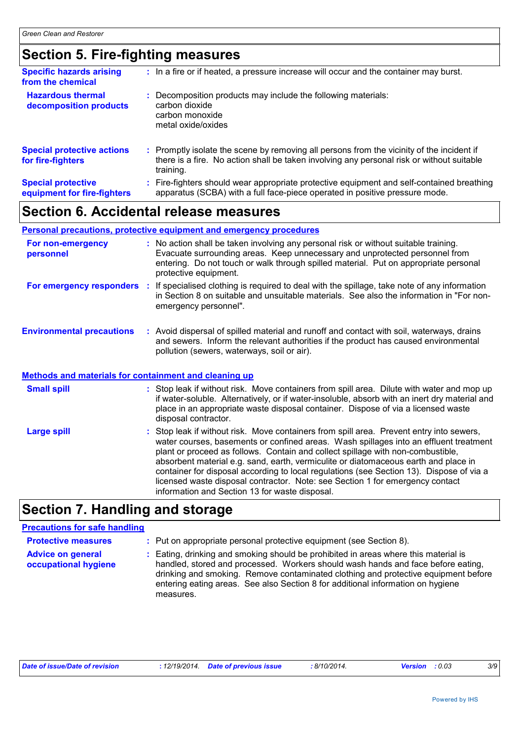### **Section 5. Fire-fighting measures**

| <b>Specific hazards arising</b><br>from the chemical     | : In a fire or if heated, a pressure increase will occur and the container may burst.                                                                                                               |  |
|----------------------------------------------------------|-----------------------------------------------------------------------------------------------------------------------------------------------------------------------------------------------------|--|
| <b>Hazardous thermal</b><br>decomposition products       | : Decomposition products may include the following materials:<br>carbon dioxide<br>carbon monoxide<br>metal oxide/oxides                                                                            |  |
| <b>Special protective actions</b><br>for fire-fighters   | : Promptly isolate the scene by removing all persons from the vicinity of the incident if<br>there is a fire. No action shall be taken involving any personal risk or without suitable<br>training. |  |
| <b>Special protective</b><br>equipment for fire-fighters | Fire-fighters should wear appropriate protective equipment and self-contained breathing<br>apparatus (SCBA) with a full face-piece operated in positive pressure mode.                              |  |

### **Section 6. Accidental release measures**

|                                                              | <b>Personal precautions, protective equipment and emergency procedures</b>                                                                                                                                                                                                                               |
|--------------------------------------------------------------|----------------------------------------------------------------------------------------------------------------------------------------------------------------------------------------------------------------------------------------------------------------------------------------------------------|
| For non-emergency<br>personnel                               | : No action shall be taken involving any personal risk or without suitable training.<br>Evacuate surrounding areas. Keep unnecessary and unprotected personnel from<br>entering. Do not touch or walk through spilled material. Put on appropriate personal<br>protective equipment.                     |
|                                                              | For emergency responders : If specialised clothing is required to deal with the spillage, take note of any information<br>in Section 8 on suitable and unsuitable materials. See also the information in "For non-<br>emergency personnel".                                                              |
| <b>Environmental precautions</b>                             | : Avoid dispersal of spilled material and runoff and contact with soil, waterways, drains<br>and sewers. Inform the relevant authorities if the product has caused environmental<br>pollution (sewers, waterways, soil or air).                                                                          |
| <b>Methods and materials for containment and cleaning up</b> |                                                                                                                                                                                                                                                                                                          |
| <b>Small spill</b>                                           | : Stop leak if without risk. Move containers from spill area. Dilute with water and mop up<br>if water-soluble. Alternatively, or if water-insoluble, absorb with an inert dry material and<br>place in an appropriate waste disposal container. Dispose of via a licensed waste<br>disposal contractor. |
| Large spill                                                  | : Stop leak if without risk. Move containers from spill area. Prevent entry into sewers,<br>water courses, basements or confined areas. Wash spillages into an effluent treatment<br>plant or proceed as follows. Contain and collect spillage with non-combustible                                      |

age with non-col absorbent material e.g. sand, earth, vermiculite or diatomaceous earth and place in container for disposal according to local regulations (see Section 13). Dispose of via a licensed waste disposal contractor. Note: see Section 1 for emergency contact information and Section 13 for waste disposal.

### **Section 7. Handling and storage**

### **Precautions for safe handling**

| <b>Protective measures</b>                       | : Put on appropriate personal protective equipment (see Section 8).                                                                                                                                                                                                                                                                                           |
|--------------------------------------------------|---------------------------------------------------------------------------------------------------------------------------------------------------------------------------------------------------------------------------------------------------------------------------------------------------------------------------------------------------------------|
| <b>Advice on general</b><br>occupational hygiene | : Eating, drinking and smoking should be prohibited in areas where this material is<br>handled, stored and processed. Workers should wash hands and face before eating,<br>drinking and smoking. Remove contaminated clothing and protective equipment before<br>entering eating areas. See also Section 8 for additional information on hygiene<br>measures. |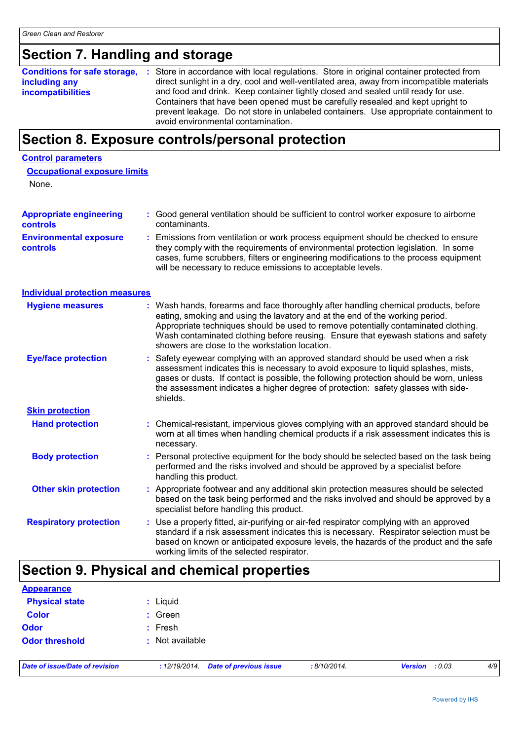### **Section 7. Handling and storage**

|                          | <b>Conditions for safe storage, :</b> Store in accordance with local regulations. Store in original container protected from |
|--------------------------|------------------------------------------------------------------------------------------------------------------------------|
| including any            | direct sunlight in a dry, cool and well-ventilated area, away from incompatible materials                                    |
| <b>incompatibilities</b> | and food and drink. Keep container tightly closed and sealed until ready for use.                                            |
|                          | Containers that have been opened must be carefully resealed and kept upright to                                              |
|                          | prevent leakage. Do not store in unlabeled containers. Use appropriate containment to                                        |
|                          | avoid environmental contamination.                                                                                           |

### **Section 8. Exposure controls/personal protection**

#### **Control parameters**

| <b>Occupational exposure limits</b> |  |  |
|-------------------------------------|--|--|
| <b>Name</b>                         |  |  |

None.

| <b>Appropriate engineering</b><br><b>controls</b> | : Good general ventilation should be sufficient to control worker exposure to airborne<br>contaminants.                                                                                                                                                                                                                       |  |
|---------------------------------------------------|-------------------------------------------------------------------------------------------------------------------------------------------------------------------------------------------------------------------------------------------------------------------------------------------------------------------------------|--|
| <b>Environmental exposure</b><br><b>controls</b>  | Emissions from ventilation or work process equipment should be checked to ensure<br>they comply with the requirements of environmental protection legislation. In some<br>cases, fume scrubbers, filters or engineering modifications to the process equipment<br>will be necessary to reduce emissions to acceptable levels. |  |

**Individual protection measures**

| <b>Hygiene measures</b>       | : Wash hands, forearms and face thoroughly after handling chemical products, before<br>eating, smoking and using the lavatory and at the end of the working period.<br>Appropriate techniques should be used to remove potentially contaminated clothing.<br>Wash contaminated clothing before reusing. Ensure that eyewash stations and safety<br>showers are close to the workstation location. |
|-------------------------------|---------------------------------------------------------------------------------------------------------------------------------------------------------------------------------------------------------------------------------------------------------------------------------------------------------------------------------------------------------------------------------------------------|
| <b>Eye/face protection</b>    | : Safety eyewear complying with an approved standard should be used when a risk<br>assessment indicates this is necessary to avoid exposure to liquid splashes, mists,<br>gases or dusts. If contact is possible, the following protection should be worn, unless<br>the assessment indicates a higher degree of protection: safety glasses with side-<br>shields.                                |
| <b>Skin protection</b>        |                                                                                                                                                                                                                                                                                                                                                                                                   |
| <b>Hand protection</b>        | : Chemical-resistant, impervious gloves complying with an approved standard should be<br>worn at all times when handling chemical products if a risk assessment indicates this is<br>necessary.                                                                                                                                                                                                   |
| <b>Body protection</b>        | : Personal protective equipment for the body should be selected based on the task being<br>performed and the risks involved and should be approved by a specialist before<br>handling this product.                                                                                                                                                                                               |
| <b>Other skin protection</b>  | : Appropriate footwear and any additional skin protection measures should be selected<br>based on the task being performed and the risks involved and should be approved by a<br>specialist before handling this product.                                                                                                                                                                         |
| <b>Respiratory protection</b> | : Use a properly fitted, air-purifying or air-fed respirator complying with an approved<br>standard if a risk assessment indicates this is necessary. Respirator selection must be<br>based on known or anticipated exposure levels, the hazards of the product and the safe<br>working limits of the selected respirator.                                                                        |

### **Section 9. Physical and chemical properties**

| <b>Appearance</b>              |                                                |              |                |     |
|--------------------------------|------------------------------------------------|--------------|----------------|-----|
| <b>Physical state</b>          | : Liquid                                       |              |                |     |
| <b>Color</b><br><b>Odor</b>    | $:$ Green                                      |              |                |     |
|                                | $:$ Fresh                                      |              |                |     |
| <b>Odor threshold</b>          | : Not available                                |              |                |     |
| Date of issue/Date of revision | <b>Date of previous issue</b><br>: 12/19/2014. | : 8/10/2014. | Version : 0.03 | 4/9 |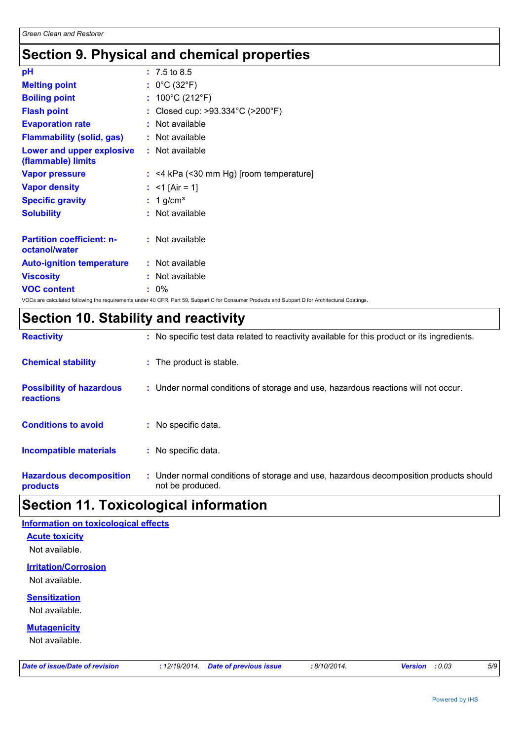### **Section 9. Physical and chemical properties**

| $: 7.5 \text{ to } 8.5$                   |
|-------------------------------------------|
| : $0^{\circ}$ C (32 $^{\circ}$ F)         |
| : $100^{\circ}$ C (212 $^{\circ}$ F)      |
| : Closed cup: >93.334°C (>200°F)          |
| : Not available                           |
| : Not available                           |
| : Not available                           |
| $:$ <4 kPa (<30 mm Hg) [room temperature] |
| : <1 [Air = 1]                            |
| $: 1$ g/cm <sup>3</sup>                   |
| : Not available                           |
|                                           |
| : Not available                           |
| : Not available                           |
| : Not available                           |
| : 0%                                      |
|                                           |

VOCs are calculated following the requirements under 40 CFR, Part 59, Subpart C for Consumer Products and Subpart D for Architectural Coatings.

### **Section 10. Stability and reactivity**

| <b>Reactivity</b>                                   | : No specific test data related to reactivity available for this product or its ingredients.              |
|-----------------------------------------------------|-----------------------------------------------------------------------------------------------------------|
| <b>Chemical stability</b>                           | : The product is stable.                                                                                  |
| <b>Possibility of hazardous</b><br><b>reactions</b> | : Under normal conditions of storage and use, hazardous reactions will not occur.                         |
| <b>Conditions to avoid</b>                          | : No specific data.                                                                                       |
| <b>Incompatible materials</b>                       | : No specific data.                                                                                       |
| <b>Hazardous decomposition</b><br>products          | : Under normal conditions of storage and use, hazardous decomposition products should<br>not be produced. |

## **Section 11. Toxicological information**

### **Acute toxicity** Not available. **Mutagenicity** Not available. **Irritation/Corrosion** Not available. **Sensitization** Not available. **Information on toxicological effects**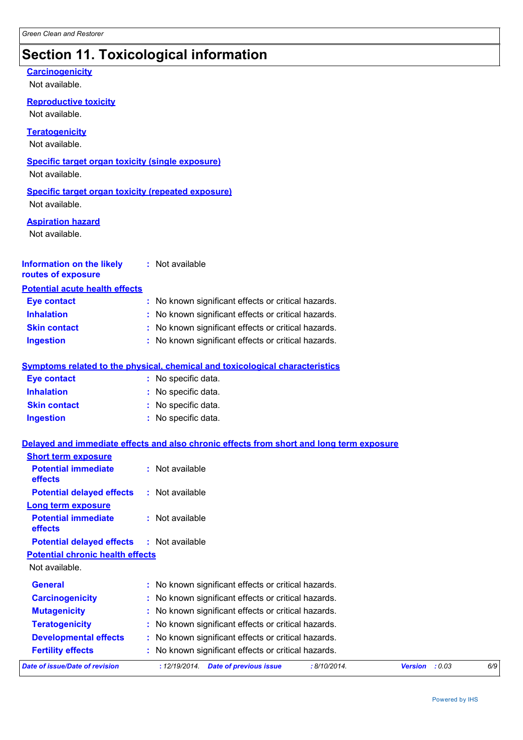### **Section 11. Toxicological information**

#### **Carcinogenicity**

Not available.

**Reproductive toxicity**

Not available.

**Teratogenicity**

Not available.

#### **Specific target organ toxicity (single exposure)**

Not available.

#### **Specific target organ toxicity (repeated exposure)**

Not available.

#### **Aspiration hazard**

Not available.

#### **Information on the likely routes of exposure :** Not available

#### **Potential acute health effects**

| <b>Eye contact</b>  | : No known significant effects or critical hazards. |
|---------------------|-----------------------------------------------------|
| <b>Inhalation</b>   | : No known significant effects or critical hazards. |
| <b>Skin contact</b> | : No known significant effects or critical hazards. |
| <b>Ingestion</b>    | : No known significant effects or critical hazards. |

#### **Symptoms related to the physical, chemical and toxicological characteristics**

| <b>Eye contact</b>  | : No specific data. |
|---------------------|---------------------|
| <b>Inhalation</b>   | : No specific data. |
| <b>Skin contact</b> | : No specific data. |
| Ingestion           | : No specific data. |

#### **Delayed and immediate effects and also chronic effects from short and long term exposure**

| <b>Short term exposure</b>                   |                                                                |                          |     |
|----------------------------------------------|----------------------------------------------------------------|--------------------------|-----|
| <b>Potential immediate</b><br><b>effects</b> | $:$ Not available                                              |                          |     |
| <b>Potential delayed effects</b>             | $:$ Not available                                              |                          |     |
| Long term exposure                           |                                                                |                          |     |
| <b>Potential immediate</b><br>effects        | $:$ Not available                                              |                          |     |
| <b>Potential delayed effects</b>             | $:$ Not available                                              |                          |     |
| <b>Potential chronic health effects</b>      |                                                                |                          |     |
| Not available.                               |                                                                |                          |     |
| <b>General</b>                               | : No known significant effects or critical hazards.            |                          |     |
| <b>Carcinogenicity</b>                       | : No known significant effects or critical hazards.            |                          |     |
| <b>Mutagenicity</b>                          | : No known significant effects or critical hazards.            |                          |     |
| <b>Teratogenicity</b>                        | : No known significant effects or critical hazards.            |                          |     |
| <b>Developmental effects</b>                 | : No known significant effects or critical hazards.            |                          |     |
| <b>Fertility effects</b>                     | : No known significant effects or critical hazards.            |                          |     |
| Date of issue/Date of revision               | <b>Date of previous issue</b><br>: 8/10/2014.<br>: 12/19/2014. | : 0.03<br><b>Version</b> | 6/9 |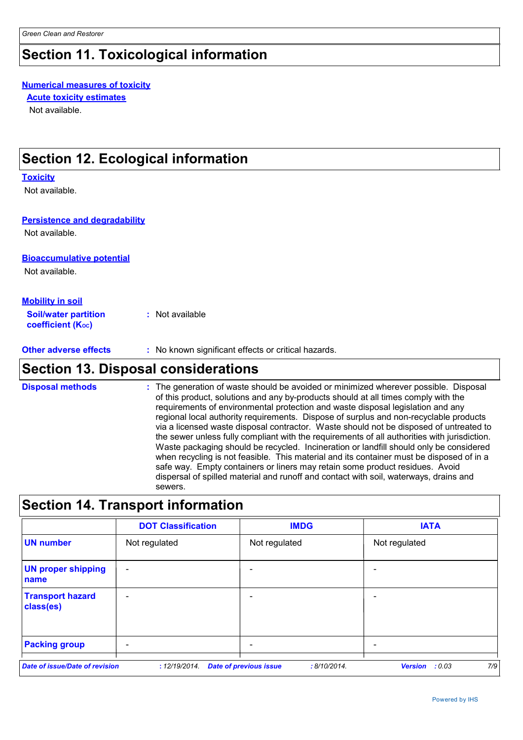### **Section 11. Toxicological information**

#### **Numerical measures of toxicity**

**Acute toxicity estimates**

Not available.

### **Section 12. Ecological information**

#### **Toxicity**

Not available.

#### **Persistence and degradability**

Not available.

#### **Bioaccumulative potential**

Not available.

#### **Mobility in soil**

**Soil/water partition coefficient (Koc) :** Not available

**Other adverse effects** : No known significant effects or critical hazards.

### **Section 13. Disposal considerations**

The generation of waste should be avoided or minimized wherever possible. Disposal of this product, solutions and any by-products should at all times comply with the requirements of environmental protection and waste disposal legislation and any regional local authority requirements. Dispose of surplus and non-recyclable products via a licensed waste disposal contractor. Waste should not be disposed of untreated to the sewer unless fully compliant with the requirements of all authorities with jurisdiction. Waste packaging should be recycled. Incineration or landfill should only be considered when recycling is not feasible. This material and its container must be disposed of in a safe way. Empty containers or liners may retain some product residues. Avoid dispersal of spilled material and runoff and contact with soil, waterways, drains and sewers. **Disposal methods :**

### **Section 14. Transport information**

|                                       | <b>DOT Classification</b> | <b>IMDG</b>                                   | <b>IATA</b>                     |
|---------------------------------------|---------------------------|-----------------------------------------------|---------------------------------|
| <b>UN number</b>                      | Not regulated             | Not regulated                                 | Not regulated                   |
| <b>UN proper shipping</b><br>name     | $\overline{\phantom{0}}$  |                                               |                                 |
| <b>Transport hazard</b><br>class(es)  | $\overline{\phantom{0}}$  |                                               |                                 |
| <b>Packing group</b>                  | $\overline{\phantom{0}}$  |                                               |                                 |
| <b>Date of issue/Date of revision</b> | : 12/19/2014.             | <b>Date of previous issue</b><br>: 8/10/2014. | 7/9<br><b>Version</b><br>: 0.03 |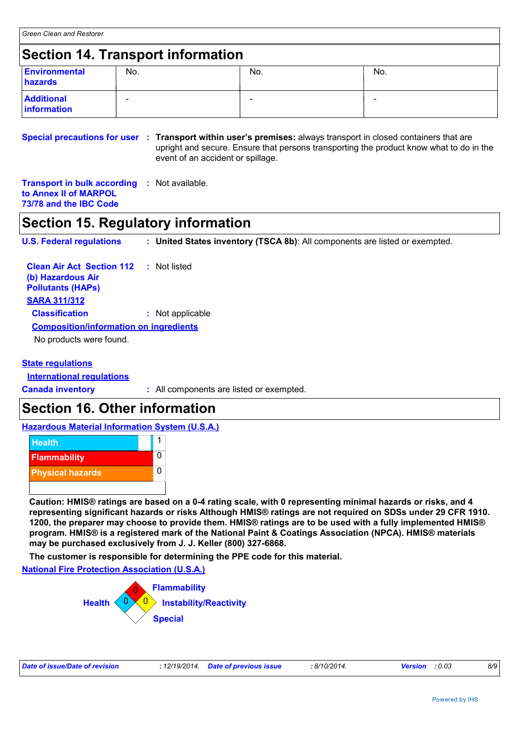### **Section 14. Transport information**

| <b>Environmental</b><br>hazards  | No.                      | No. | No. |
|----------------------------------|--------------------------|-----|-----|
| <b>Additional</b><br>information | $\overline{\phantom{a}}$ |     | -   |

**Special precautions for user : Transport within user's premises: always transport in closed containers that are** upright and secure. Ensure that persons transporting the product know what to do in the event of an accident or spillage.

**Transport in bulk according :** Not available. **to Annex II of MARPOL 73/78 and the IBC Code**

### **Section 15. Regulatory information**

**U.S. Federal regulations : United States inventory (TSCA 8b)**: All components are listed or exempted.

| <b>Clean Air Act Section 112</b><br>(b) Hazardous Air<br><b>Pollutants (HAPs)</b> | : Not listed     |  |  |
|-----------------------------------------------------------------------------------|------------------|--|--|
| <b>SARA 311/312</b>                                                               |                  |  |  |
| <b>Classification</b>                                                             | : Not applicable |  |  |
| <b>Composition/information on ingredients</b>                                     |                  |  |  |
| No products were found.                                                           |                  |  |  |
|                                                                                   |                  |  |  |

#### **State regulations**

**International regulations**

**Canada inventory :** All components are listed or exempted.

### **Section 16. Other information**

**Hazardous Material Information System (U.S.A.)**



**Caution: HMIS® ratings are based on a 0-4 rating scale, with 0 representing minimal hazards or risks, and 4 representing significant hazards or risks Although HMIS® ratings are not required on SDSs under 29 CFR 1910. 1200, the preparer may choose to provide them. HMIS® ratings are to be used with a fully implemented HMIS® program. HMIS® is a registered mark of the National Paint & Coatings Association (NPCA). HMIS® materials may be purchased exclusively from J. J. Keller (800) 327-6868.**

**The customer is responsible for determining the PPE code for this material.**

**National Fire Protection Association (U.S.A.)**